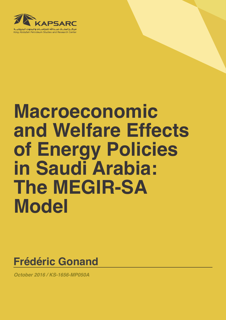

# **Macroeconomic and Welfare Effects of Energy Policies in Saudi Arabia: The MEGIR-SA Model**

**Frédéric Gonand**

*October 2016 / KS-1656-MP050A*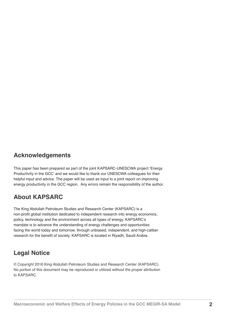#### **Acknowledgements**

This paper has been prepared as part of the joint KAPSARC-UNESCWA project 'Energy Productivity in the GCC' and we would like to thank our UNESCWA colleagues for their helpful input and advice. The paper will be used as input to a joint report on improving energy productivity in the GCC region. Any errors remain the responsibility of the author.

#### **About KAPSARC**

The King Abdullah Petroleum Studies and Research Center (KAPSARC) is a non-profit global institution dedicated to independent research into energy economics, policy, technology and the environment across all types of energy. KAPSARC's mandate is to advance the understanding of energy challenges and opportunities facing the world today and tomorrow, through unbiased, independent, and high-caliber research for the benefit of society. KAPSARC is located in Riyadh, Saudi Arabia.

#### **Legal Notice**

© Copyright 2016 King Abdullah Petroleum Studies and Research Center (KAPSARC). No portion of this document may be reproduced or utilized without the proper attribution to KAPSARC.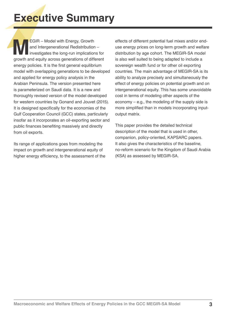## **Executive Summary**

EGIR – Model with Energy, Growth<br>
and Intergenerational Redistribution –<br>
investigates the long-run implications for<br>
growth and equity across generations of different and Intergenerational Redistribution – investigates the long-run implications for energy policies. It is the first general equilibrium model with overlapping generations to be developed and applied for energy policy analysis in the Arabian Peninsula. The version presented here is parameterized on Saudi data. It is a new and thoroughly revised version of the model developed for western countries by Gonand and Jouvet (2015). It is designed specifically for the economies of the Gulf Cooperation Council (GCC) states, particularly insofar as it incorporates an oil-exporting sector and public finances benefiting massively and directly from oil exports.

Its range of applications goes from modeling the impact on growth and intergenerational equity of higher energy efficiency, to the assessment of the effects of different potential fuel mixes and/or enduse energy prices on long-term growth and welfare distribution by age cohort. The MEGIR-SA model is also well suited to being adapted to include a sovereign wealth fund or for other oil exporting countries. The main advantage of MEGIR-SA is its ability to analyze precisely and simultaneously the effect of energy policies on potential growth and on intergenerational equity. This has some unavoidable cost in terms of modeling other aspects of the economy – e.g., the modeling of the supply side is more simplified than in models incorporating inputoutput matrix.

This paper provides the detailed technical description of the model that is used in other, companion, policy-oriented, KAPSARC papers. It also gives the characteristics of the baseline. no-reform scenario for the Kingdom of Saudi Arabia (KSA) as assessed by MEGIR-SA.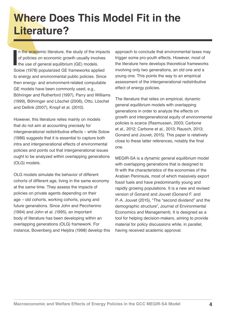## **Where Does This Model Fit in the Literature?**

In the academic literature, the study of the impact of policies on economic growth usually involves the use of general equilibrium (GE) models.<br>Solow (1978) popularized GE frameworks applied n the academic literature, the study of the impacts of policies on economic growth usually involves I the use of general equilibrium (GE) models. to energy and environmental public policies. Since then energy- and environment-related computable GE models have been commonly used, e.g., Böhringer and Rutherford (1997), Parry and Williams (1999), Böhringer and Löschel (2006), Otto, Löschel and Dellink (2007), Knopf et al. (2010).

However, this literature relies mainly on models that do not aim at accounting precisely for intergenerational redistributive effects – while Solow (1986) suggests that it is essential to capture both intra and intergenerational effects of environmental policies and points out that intergenerational issues ought to be analyzed within overlapping generations (OLG) models.

OLG models simulate the behavior of different cohorts of different age, living in the same economy at the same time. They assess the impacts of policies on private agents depending on their age *–* old cohorts, working cohorts, young and future generations. Since John and Pecchenino (1994) and John et al. (1995), an important body of literature has been developing within an overlapping generations (OLG) framework. For instance, Bovenberg and Heijdra (1998) develop this approach to conclude that environmental taxes may trigger some pro-youth effects. However, most of the literature here develops theoretical frameworks involving only two generations, an old one and a young one. This points the way to an empirical assessment of the intergenerational redistributive effect of energy policies.

The literature that relies on empirical, dynamic general equilibrium models with overlapping generations in order to analyze the effects on growth and intergenerational equity of environmental policies is scarce (Rasmussen, 2003; Carbone et al., 2012; Carbone et al., 2013; Rausch, 2013; Gonand and Jouvet, 2015). This paper is relatively close to these latter references, notably the final one.

MEGIR-SA is a dynamic general equilibrium model with overlapping generations that is designed to fit with the characteristics of the economies of the Arabian Peninsula, most of which massively export fossil fuels and have predominantly young and rapidly growing populations. It is a new and revised version of Gonand and Jouvet (Gonand F. and P.-A. Jouvet (2015), "The "second dividend" and the demographic structure", Journal of Environmental Economics and Management). It is designed as a tool for helping decision-makers, aiming to provide material for policy discussions while, in parallel, having received academic approval.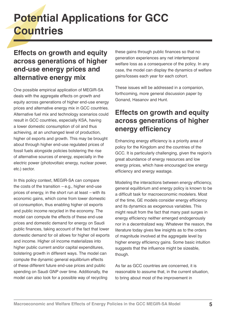## **Potential Applications for GCC Countries**

### **Effects on growth and equity across generations of higher end-use energy prices and alternative energy mix**

One possible empirical application of MEGIR-SA deals with the aggregate effects on growth and equity across generations of higher end-use energy prices and alternative energy mix in GCC countries. Alternative fuel mix and technology scenarios could result in GCC countries, especially KSA, having a lower domestic consumption of oil and thus achieving, at an unchanged level of production, higher oil exports and growth. This may be brought about through higher end-use regulated prices of fossil fuels alongside policies bolstering the rise of alternative sources of energy, especially in the electric power (photovoltaic energy, nuclear power, etc.) sector.

In this policy context, MEGIR-SA can compare the costs of the transition *–* e.g., higher end-use prices of energy, in the short run at least *–* with its economic gains, which come from lower domestic oil consumption, thus enabling higher oil exports and public income recycled in the economy. The model can compute the effects of these end-use prices and domestic demand for energy on Saudi public finances, taking account of the fact that lower domestic demand for oil allows for higher oil exports and income. Higher oil income materializes into higher public current and/or capital expenditures, bolstering growth in different ways. The model can compute the dynamic general equilibrium effects of these different future end-use prices and public spending on Saudi GNP over time. Additionally, the model can also look for a possible way of recycling

these gains through public finances so that no generation experiences any net intertemporal welfare loss as a consequence of the policy. In any case, the model can display the dynamics of welfare gains/losses each year for each cohort.

These issues will be addressed in a companion, forthcoming, more general discussion paper by Gonand, Hasanov and Hunt.

### **Effects on growth and equity across generations of higher energy efficiency**

Enhancing energy efficiency is a priority area of policy for the Kingdom and the countries of the GCC. It is particularly challenging, given the region's great abundance of energy resources and low energy prices, which have encouraged low energy efficiency and energy wastage.

Modeling the interactions between energy efficiency, general equilibrium and energy policy is known to be a difficult task for macroeconomic modelers. Most of the time, GE models consider energy efficiency and its dynamics as exogenous variables. This might result from the fact that many past surges in energy efficiency neither emerged endogenously nor in a decentralized way. Whatever the reason, the literature today gives few insights as to the orders of magnitude involved at the aggregate level by higher energy efficiency gains. Some basic intuition suggests that the influence might be sizeable, though.

As far as GCC countries are concerned, it is reasonable to assume that, in the current situation, to bring about most of the improvement in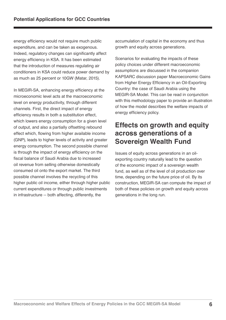energy efficiency would not require much public expenditure, and can be taken as exogenous. Indeed, regulatory changes can significantly affect energy efficiency in KSA. It has been estimated that the introduction of measures regulating air conditioners in KSA could reduce power demand by as much as 25 percent or 10GW (Matar, 2015).

In MEGIR-SA, enhancing energy efficiency at the microeconomic level acts at the macroeconomic level on energy productivity, through different channels. First, the direct impact of energy efficiency results in both a substitution effect, which lowers energy consumption for a given level of output, and also a partially offsetting rebound effect which, flowing from higher available income (GNP), leads to higher levels of activity and greater energy consumption. The second possible channel is through the impact of energy efficiency on the fiscal balance of Saudi Arabia due to increased oil revenue from selling otherwise domestically consumed oil onto the export market. The third possible channel involves the recycling of this higher public oil income, either through higher public current expenditures or through public investments in infrastructure -- both affecting, differently, the

accumulation of capital in the economy and thus growth and equity across generations.

Scenarios for evaluating the impacts of these policy choices under different macroeconomic assumptions are discussed in the companion KAPSARC discussion paper Macroeconomic Gains from Higher Energy Efficiency in an Oil-Exporting Country: the case of Saudi Arabia using the MEGIR-SA Model. This can be read in conjunction with this methodology paper to provide an illustration of how the model describes the welfare impacts of energy efficiency policy.

### **Effects on growth and equity across generations of a Sovereign Wealth Fund**

Issues of equity across generations in an oilexporting country naturally lead to the question of the economic impact of a sovereign wealth fund, as well as of the level of oil production over time, depending on the future price of oil. By its construction, MEGIR-SA can compute the impact of both of these policies on growth and equity across generations in the long run.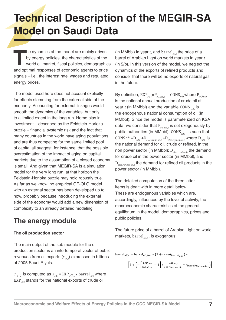## **Technical Description of the MEGIR-SA Model on Saudi Data**

The dynamics of the model are mainly driven<br>by energy policies, the characteristics of the<br>world oil market, fiscal policies, demographic<br>and optimal responses of economic agents to price by energy policies, the characteristics of the world oil market, fiscal policies, demographics signals *–* i.e., the interest rate, wages and regulated energy prices.

The model used here does not account explicitly for effects stemming from the external side of the economy. Accounting for external linkages would smooth the dynamics of the variables, but only to a limited extent in the long run. Home bias in investment *–* described as the Feldstein-Horioka puzzle *–* financial systemic risk and the fact that many countries in the world have aging populations and are thus competing for the same limited pool of capital all suggest, for instance, that the possible overestimation of the impact of aging on capital markets due to the assumption of a closed economy is small. And given that MEGIR-SA is a simulation model for the very long run, at that horizon the Feldstein-Horioka puzzle may hold robustly true. As far as we know, no empirical GE-OLG model with an external sector has been developed up to now, probably because introducing the external side of the economy would add a new dimension of complexity to an already detailed modeling.

## **The energy module**

#### **The oil production sector**

The main output of the sub module for the oil production sector is an intertemporal vector of public revenues from oil exports ( $Y_{out}$ ) expressed in billions of 2005 Saudi Riyals.

 $Y_{\text{oil},t}$  is computed as  $Y_{\text{oil},t} = \text{EXP}_{\text{oil},t} * \text{barrel}_{\text{oil},t}$  where EXP<sub>oilt</sub> stands for the national exports of crude oil

(in MMbbl) in year t, and barrel<sub>oil</sub>, the price of a barrel of Arabian Light on world markets in year t (in \$/b). In this version of the model, we neglect the dynamics of the exports of refined products and consider that there will be no exports of natural gas in the future.

By definition,  $EXP_{oil.t} = P_{oil.ksa,t} - CONS_{oil.t}$  where  $P_{oil.ksa,t}$ is the national annual production of crude oil at year t (in MMbbl) and the variable CONS *oil,t* is the endogenous national consumption of oil (in MMbbl). Since the model is parameterized on KSA data, we consider that P*oil,ksa,t* is set exogenously by public authorities (in MMbbl). CONS<sub>oil,t</sub> is such that CONS  $^{oil,t} = D_{oil,t} + D_{elec, crude\ oil,t} + D_{elec,refined\ oil,t}$  where  $D_{oil,t}$  is the national demand for oil, crude or refined, in the non power sector (in MMbbl); D*elec,crude oil,t* the demand for crude oil in the power sector (in MMbbl), and D<sub>elec refined oil t</sub> the demand for refined oil products in the power sector (in MMbbl).

The detailed computation of the three latter items is dealt with in more detail below. These are endogenous variables which are, accordingly, influenced by the level of activity, the macroeconomic characteristics of the general equilibrium in the model, demographics, prices and public policies.

The future price of a barrel of Arabian Light on world markets, barrel<sub>oit</sub>, is exogenous:

barrel<sub>oil,t</sub> = barrel<sub>oil,t</sub>-1 \* (1 + trend<sub>barreloit</sub>) \*

$$
\left[1 + \left(-\left[\frac{\text{EXP}_{oil,t}}{\text{EXP}_{oil,t-1}} - 1\right] * \frac{\text{EXP}_{oil,t}}{365 * P_{oil,world,t}} * \varepsilon_{\text{barrel}/P_{oil,world,t}}\right)\right]
$$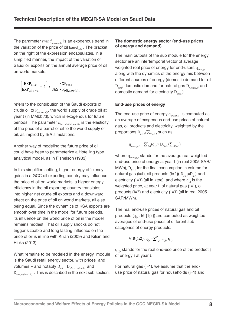The parameter *trend*<sub>barreloil,t</sub> is an exogenous trend in the variation of the price of oil barrel<sub>oilt</sub>. The bracket on the right of the expression encapsulates, in a simplified manner, the impact of the variation of Saudi oil exports on the annual average price of oil on world markets.

$$
\left[\frac{\text{EXP}_{oil,t}}{\text{EXP}_{oil,t-1}} - 1\right] * \frac{\text{EXP}_{oil,t}}{365 * P_{oil,world,t}}
$$

refers to the contribution of the Saudi exports of crude oil to P*oil,world,t*, the world supply of crude oil at year t (in MMbbl/d), which is exogenous for future periods. The parameter *εbarrel /Poil,world,t* is the elasticity of the price of a barrel of oil to the world supply of oil, as implied by IEA simulations.

Another way of modeling the future price of oil could have been to parameterize a Hotelling type analytical model, as in Fishelson (1983).

In this simplified setting, higher energy efficiency gains in a GCC oil exporting country may influence the price of oil on world markets; a higher energy efficiency in the oil exporting country translates into higher net crude oil exports and a downward effect on the price of oil on world markets, all else being equal. Since the dynamics of KSA exports are smooth over time in the model for future periods, its influence on the world price of oil in the model remains modest. That oil supply shocks do not trigger sizeable and long lasting influence on the price of oil is in line with Kilian (2009) and Kilian and Hicks (2013).

What remains to be modeled in the energy module is the Saudi retail energy sector, with prices and volumes *–* and notably D*oil,t*, D*elec,crude oil,t* and D<sub>elec refined oil t</sub>. This is described in the next sub section.

#### **The domestic energy sector (end-use prices of energy and demand)**

The main outputs of the sub module for the energy sector are an intertemporal vector of average weighted real price of energy for end-users q*energy,t* , along with the dynamics of the energy mix between different sources of energy (domestic demand for oil D*oil,t*, domestic demand for natural gas D*natgas,t*, and domestic demand for electricity D<sub>elect</sub>).

#### **End-use prices of energy**

The end-use price of energy q<sub>enerayt</sub> is computed as an average of exogenous end-use prices of natural gas, oil products and electricity, weighted by the proportions D*ί,t–1*/∑*ίDί,t–1* such as

$$
\mathbf{q}_{\text{energy},t} = \sum_{i=1}^{3} (\mathbf{q}_{i,t} \cdot \mathbf{D}_{i,t-1} / \sum_{i \in I, t-1})
$$

where q*energy,<sup>t</sup>* stands for the average real weighted end-use price of energy at year t (in real 2005 SAR/ MWh),  $D_{i+1}$  for the final consumption in volume for natural gas (i=1), oil products (i=2)(  $D_{off} = D_{2}$ ,) and electricity (i=3), (all in ktoe), and where  $q_{i}$  is the weighted price, at year t, of natural gas (i=1), oil products (i=2) and electricity (i=3) (all in real 2005 SAR/MWh).

The real end-use prices of natural gas and oil products  $(q_{i,j}, i \in \{1,2\})$  are computed as weighted averages of end-use prices of different sub categories of energy products:

$$
\forall i \in \{1;2\}, \, q_{i,t} = \sum_{j=1}^{n} a_{i,j,t} \, q_{i,t}
$$

q*ί,j,t* stands for the real end-use price of the product j of energy i at year t.

For natural gas  $(i=1)$ , we assume that the enduse price of natural gas for households  $(i=1)$  and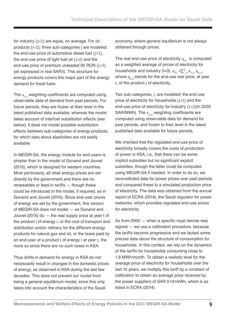for industry (j=2) are equal, on average. For oil products (i=2), three sub-categories j are modeled: the end-use price of automotive diesel fuel  $(i=1)$ , the end-use price of light fuel oil  $(i=2)$  and the end-use price of premium unleaded 95 RON (j=3) (all expressed in real SAR/l). This structure for energy products covers the major part of the energy demand for fossil fuels.

The  $a_{ij}$ , weighting coefficients are computed using observable data of demand from past periods. For future periods, they are frozen at their level in the latest published data available; whereas the model takes account of interfuel substitution effects (see below), it does not model possible substitution effects between sub-categories of energy products, for which data about elasticities are not easily available.

In MEGIR-SA, the energy module for end-users is simpler than in the model of Gonand and Jouvet (2015), which is designed for western countries. Most particularly, all retail energy prices are set directly by the government and there are no renewables or feed-in tariffs *—* though these could be introduced in the model, if required, as in Gonand and Jouvet (2015). Since end-user prices of energy are set by the government, this version of MEGIR-SA does not model *—* as Gonand and Jouvet (2015) do *—* the real supply price at year t of the product j of energy i, or the cost of transport and distribution and/or refinery for the different energy products for natural gas and oil, or the taxes paid by an end-user of a product j of energy i at year t, the more so since there are no such taxes in KSA.

Thus shifts in demand for energy in KSA do not necessarily result in changes in the domestic prices of energy, as observed in KSA during the last few decades. This does not prevent our model from being a general equilibrium model, since this only takes into account the characteristics of the Saudi

economy, where general equilibrium is not always obtained through prices.

The real end-use price of electricity  $q_{3t}$  is computed as a weighted average of prices of electricity for households and industry (i=3),  $q_{3,t} = \sum_{j=1}^{2} a_{3,j,t} q_{3,j,t}$ , where  $q_{3,i,t}$  stands for the end-use real price, at year *t*, of the product *j* of electricity.

Two sub-categories, j, are modeled: the end-use price of electricity for households (j=1) and the end-use price of electricity for industry (j=2)(in 2005 SAR/MWh). The a<sub>3,it</sub> weighting coefficients are computed using observable data for demand for past periods, and frozen to their level in the latest published data available for future periods.

We checked that the regulated end-use price of electricity broadly covers the costs of production of power in KSA, i.e., that there can be some implicit subsidies but no significant explicit subsidies, though the latter could be computed using MEGIR-SA if needed. In order to do so, we reconstituted data for power prices over past periods and compared these to a simulated production price of electricity. The data was obtained from the annual report of ECRA (2014), the Saudi regulator for power networks, which provides regulated end-use prices for electricity.

As from 2000 *—* when a specific royal decree was signed *—* we use a calibration procedure, because the tariffs become progressive and we lacked some precise data about the structure of consumption for households. In this context, we rely on the dynamics of the tariffs for households consuming close to 1.8 MWh/month. To obtain a realistic level for the average price of electricity for households over the last 15 years, we multiply this tariff by a constant of calibration to obtain an average price received by the power suppliers of SAR 0.141/kWh, which is as listed in ECRA (2014).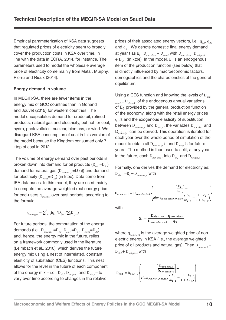Empirical parameterization of KSA data suggests that regulated prices of electricity seem to broadly cover the production costs in KSA over time, in line with the data in ECRA, 2014, for instance. The parameters used to model the wholesale average price of electricity come mainly from Matar, Murphy, Pierru and Rioux (2014).

#### **Energy demand in volume**

In MEGIR-SA, there are fewer items in the energy mix of GCC countries than in Gonand and Jouvet (2015) for western countries. The model encapsulates demand for crude oil, refined products, natural gas and electricity, but not for coal, hydro, photovoltaics, nuclear, biomass, or wind. We disregard KSA consumption of coal in this version of the model because the Kingdom consumed only 7 ktep of coal in 2012.

The volume of energy demand over past periods is broken down into demand for oil products (D<sub>oilt</sub>=D<sub>2</sub>,), demand for natural gas (D*natgas,t,t*=D*1,t*}) and demand for electricity (D<sub>elect</sub>=D<sub>3t</sub>) (in ktoe). Data come from IEA databases. In this model, they are used mainly to compute the average weighted real energy price for end-users q<sub>energyt</sub> over past periods, according to the formula

$$
\mathbf{q}_{\text{energy},t} = \sum_{i=1}^{3} (\mathbf{q}_{i,t} \cdot \mathbf{D}_{i,t-1} / \sum_{i} \mathbf{D}_{i,t-1})
$$

For future periods, the computation of the energy demands (i.e.,  $D_{n \text{atfoot}} = D_{1t}$ ,  $D_{n \text{atfoot}} = D_{2t}$ ,  $D_{elect} = D_{3t}$ ) and, hence, the energy mix in the future, relies on a framework commonly used in the literature (Leimbach et al., 2010), which derives the future energy mix using a nest of interrelated, constant elasticity of substation (CES) functions. This nest allows for the level in the future of each component of the energy mix *–* i.e., D*oil,*, D*natgas,t* and D*elec,t–* to vary over time according to changes in the relative

prices of their associated energy vectors, i.e., q<sub>1t</sub>, q<sub>2t</sub> and  $q_{3,t}$ . We denote domestic final energy demand at year t as  $E_t = D_{\text{non elec},t} + D_{\text{elec},t}$  with  $D_{\text{non elec},t} = D_{\text{natgas},t}$ + D<sub>oil,t</sub> (in ktoe). In the model, E<sub>t</sub> is an endogenous item of the production function (see below) that is directly influenced by macroeconomic factors, demographics and the characteristics of the general equilibrium.

Using a CES function and knowing the levels of D*non*   $P_{elect.1}$ ,  $D_{elect.1}$ , of the endogenous annual variations of E*t* , provided by the general production function of the economy, along with the retail energy prices q<sub>i</sub>'s and the exogenous elasticity of substitution between D*non elec,t* and D*elec,t* , the variables D*non elec,t* and D*elec,t* can be derived. This operation is iterated for each year over the whole period of simulation of the model to obtain all D<sub>non elect</sub>'s and D<sub>elect</sub>'s for future years. The method is then used to split, at any year in the future, each  $D_{\text{non-elect}}$  into  $D_{\text{out}}$  and  $D_{\text{notmost}}$ .

Formally, one derives the demand for electricity as:  $D_{elec,t} = E_t - D_{non-elec,t}$  with

$$
D_{non \: elec,t} = D_{non \: elec,t-1} \left\{ \begin{matrix} \begin{matrix} E_t \\ E_{t-1} \end{matrix} \end{matrix} \right\} - \\ \begin{matrix} \begin{matrix} E_t \\ E_{t-1} \end{matrix} \\ \begin{matrix} else \end{matrix} \end{matrix} \end{matrix} \right\}
$$

with

$$
\Xi_t = \frac{D_{elec,t-1}}{D_{non elec,t-1}} \frac{q_{non elec,t}}{q_{3,t}}
$$

where q<sub>non elect</sub> is the average weighted price of non electric energy in KSA (i.e., the average weighted price of oil products and natural gas). Then D<sub>non elect</sub> =  $D_{\text{out}} + D_{\text{not }}$  *as*, *with* 

$$
D_{oil,t} = D_{oil,t-1} \left\{ \left[ \frac{D_{non\,elec,t}}{D_{non\,elec,t-1}} \right] - \left[ \frac{K_{t}}{K_{t-1}} - \frac{1+X_{t}}{1+X_{t-1}} \right] \right\}
$$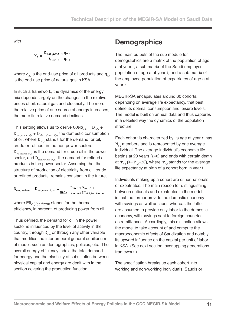with

$$
X_t = \frac{D_{nat\ gas,t-1}}{D_{oil,t-1}} \frac{q_{2,t}}{q_{1,t}}
$$

where  $q_{2t}$  is the end-use price of oil products and  $q_{1t}$ is the end-use price of natural gas in KSA.

In such a framework, the dynamics of the energy mix depends largely on the changes in the relative prices of oil, natural gas and electricity. The more the relative price of one source of energy increases, the more its relative demand declines.

This setting allows us to derive  $\text{cons}_{\text{ol},t} = \text{D}_{\text{ol},t}$  + D*elec,crude oil,t* + D*elec,refined oil,t,* the domestic consumption of oil, where D<sub>oilt</sub> stands for the demand for oil, crude or refined, in the non power sectors, D<sub>elec,crude oil,t</sub> is the demand for crude oil in the power sector, and D*elec,refined oil,t,* the demand for refined oil products in the power sector. Assuming that the structure of production of electricity from oil, crude or refined products, remains constant in the future,

$$
D_{elec, crude\ oil, t} = D_{elec, crude\ oil, t^{-1}} * \frac{D_{elec, t}/D_{elec, t-1}}{Eff_{el, 2, t, therm}/Eff_{el, 2, t-1, therm}}
$$

where Eff*el,2,t,therm* stands for the thermal efficiency, in percent, of producing power from oil.

Thus defined, the demand for oil in the power sector is influenced by the level of activity in the country, through D<sub>elec</sub> or through any other variable that modifies the intertemporal general equilibrium of model, such as demographics, policies, etc. The overall energy efficiency index, the total demand for energy and the elasticity of substitution between physical capital and energy are dealt with in the section covering the production function.

### **Demographics**

The main outputs of the sub module for demographics are a matrix of the population of age a at year t, a sub matrix of the Saudi employed population of age a at year t, and a sub matrix of the employed population of expatriates of age a at year t.

MEGIR-SA encapsulates around 60 cohorts, depending on average life expectancy, that best define its optimal consumption and leisure levels. The model is built on annual data and thus captures in a detailed way the dynamics of the population structure.

Each cohort is characterized by its age at year *t*, has N*t,a* members and is represented by one average individual. The average individual's economic life begins at 20 years (a=0) and ends with certain death at  $\Psi_{t0}$  (a= $\Psi_{t0}$ –20), where  $\Psi_{t0}$  stands for the average life expectancy at birth of a cohort born in year t.

Individuals making up a cohort are either nationals or expatriates. The main reason for distinguishing between nationals and expatriates in the model is that the former provide the domestic economy with savings as well as labor, whereas the latter are assumed to provide only labor to the domestic economy, with savings sent to foreign countries as remittances. Accordingly, this distinction allows the model to take account of and compute the macroeconomic effects of Saudization and notably its upward influence on the capital per unit of labor in KSA. (See next section, overlapping generations framework.)

The specification breaks up each cohort into working and non-working individuals, Saudis or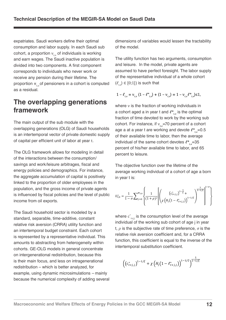expatriates. Saudi workers define their optimal consumption and labor supply. In each Saudi sub cohort, a proportion  $ν_{ta}$  of individuals is working and earn wages. The Saudi inactive population is divided into two components. A first component corresponds to individuals who never work or receive any pension during their lifetime. The proportion  $π_{i,a}$  of pensioners in a cohort is computed as a residual.

#### **The overlapping generations framework**

The main output of the sub module with the overlapping generations (OLG) of Saudi households is an intertemporal vector of private domestic supply of capital per efficient unit of labor at year t.

The OLG framework allows for modeling in detail of the interactions between the consumption/ savings and work/leisure arbitrages, fiscal and energy policies and demographics. For instance, the aggregate accumulation of capital is positively linked to the proportion of older employees in the population, and the gross income of private agents is influenced by fiscal policies and the level of public income from oil exports.

The Saudi household sector is modeled by a standard, separable, time-additive, constant relative risk aversion (CRRA) utility function and an intertemporal budget constraint. Each cohort is represented by a representative individual. This amounts to abstracting from heterogeneity within cohorts. GE-OLG models in general concentrate on intergenerational redistribution, because this is their main focus, and less on intragenerational redistribution – which is better analyzed, for example, using dynamic microsimulations *–* mainly because the numerical complexity of adding several dimensions of variables would lessen the tractability of the model.

The utility function has two arguments, consumption and leisure. In the model, private agents are assumed to have perfect foresight. The labor supply of the representative individual of a whole cohort  $(\ell_{t,a}) \in [0;1]$  is such that

$$
1 - \ell_{t,a} = v_{t,a} \left( 1 - \ell_{t,a}^* \right) + (1 - v_{t,a}) = 1 - v_{t,a} \ell_{t,a}^* \ge 1,
$$

where ν is the fraction of working individuals in a cohort aged a in year t and  $\ell^*_{t,a}$  is the optimal fraction of time devoted to work by the working sub cohort. For instance, if ν<sub>t,a</sub>=70 percent of a cohort age a at a year t are working and devote  $\ell^*_{\ell,a}$ =0.5 of their available time to labor, then the average individual of the same cohort devotes  $\ell^*_{\ell^2}$ =35 percent of his/her available time to labor, and 65 percent to leisure.

The objective function over the lifetime of the average working individual of a cohort of age a born in year t is:

$$
U_{t,0}^{*} = \frac{1}{1-\sigma} \sum_{j=0}^{\psi_{t,0}} \left\{ \frac{1}{(1+\rho)^{j}} \left[ \left( \frac{\left( c_{t+j,j}^{*} \right)^{1-\frac{1}{\xi}} + \sum_{j=1/\xi}^{1-\eta} \right)^{1-\eta}}{\chi \left( H_{j} \left( 1 - \ell_{t+j,j}^{*} \right) \right)^{1-1/\xi}} \right)^{\frac{1}{1-\eta}} \right\}^{1-\sigma} \right\}
$$

where  $c^*_{t \cdot tjj}$  is the consumption level of the average individual of the working sub cohort of age j in year t, *ρ* is the subjective rate of time preference, *σ* is the relative risk aversion coefficient and, for a CRRA function, this coefficient is equal to the inverse of the intertemporal substitution coefficient.

$$
\left( \left( c_{t+j,j}^* \right)^{1-1/\xi} + \chi \left( H_j \left( 1 - e_{t+j,j}^* \right) \right)^{1-1/\xi} \right)^{\frac{1}{1-1/\xi}}
$$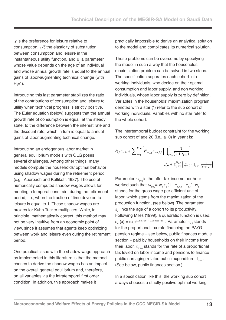*χ* is the preference for leisure relative to consumption, *1/ξ* the elasticity of substitution between consumption and leisure in the instantaneous utility function, and H*<sup>j</sup>* a parameter whose value depends on the age of an individual and whose annual growth rate is equal to the annual gains of labor-augmenting technical change (with  $H<sub>o</sub>=1$ ).

Introducing this last parameter stabilizes the ratio of the contributions of consumption and leisure to utility when technical progress is strictly positive. The Euler equation (below) suggests that the annual growth rate of consumption is equal, at the steady state, to the difference between the interest rate and the discount rate, which in turn is equal to annual gains of labor augmenting technical change.

Introducing an endogenous labor market in general equilibrium models with OLG poses several challenges. Among other things, many models compute the households' optimal behavior using shadow wages during the retirement period (e.g., Auerbach and Kotlikoff, 1987). The use of numerically computed shadow wages allows for meeting a temporal constraint during the retirement period, i.e., when the fraction of time devoted to leisure is equal to 1. These shadow wages are proxies for Kuhn-Tucker multipliers. While, in principle, mathematically correct, this method may not be very intuitive from an economic point of view, since it assumes that agents keep optimizing between work and leisure even during the retirement period.

One practical issue with the shadow wage approach as implemented in this literature is that the method chosen to derive the shadow wages has an impact on the overall general equilibrium and, therefore, on all variables via the intratemporal first order condition. In addition, this approach makes it

practically impossible to derive an analytical solution to the model and complicates its numerical solution.

These problems can be overcome by specifying the model in such a way that the households' maximization problem can be solved in two steps. The specification separates each cohort into working individuals, who decide on their optimal consumption and labor supply, and non working individuals, whose labor supply is zero by definition. Variables in the households' maximization program denoted with a star (\*) refer to the sub cohort of working individuals. Variables with no star refer to the whole cohort.

The intertemporal budget constraint for the working sub cohort of age 20 (i.e., a=0) in year t is:

$$
\ell_{t,0}^{*}\omega_{t,0} + \sum_{j=1}^{\Psi_{t,0}} \left[ \ell_{t+j,j}^{*}\omega_{t+j,j} \prod_{i=1}^{j} \frac{1}{(1+r_{t+i})} \right]
$$

$$
= c_{t,0}^{*} + \sum_{j=1}^{\Psi_{t,0}} \left[ c_{t+j,j}^{*} \prod_{i=1}^{j} \frac{1}{(1+r_{t+i})} \right]
$$

Parameter  $\omega_{\text{tr,}i}$  is the after tax income per hour worked such that  $\omega_{_{t\neq j,j}}$ = w<sub>t</sub>  $\varepsilon_{_{a}}(1-\tau_{_{t,NA}}-\tau_{_{t,P}})$ . w<sub>t</sub> stands for the gross wage per efficient unit of labor, which stems from the maximization of the production function, (see below). The parameter ε*a* links the age of a cohort to its productivity. Following Miles (1999), a quadratic function is used:  $\varepsilon_a$  (a) =  $\exp^{0.05(a+20)-0.0006(a+20)^2}$ . Parameter  $\tau_{t,P}$  stands for the proportional tax rate financing the PAYG pension regime *–* see below, public finances module section *–* paid by households on their income from their labor.  $\tau_{\text{tNA}}$  stands for the rate of a proportional tax levied on labor income and pensions to finance public non aging related public expenditure  $d_{\text{max}}$ . (See below, public finances section.)

In a specification like this, the working sub cohort always chooses a strictly positive optimal working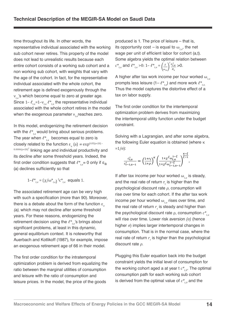time throughout its life. In other words, the representative individual associated with the working sub cohort never retires. This property of the model does not lead to unrealistic results because each entire cohort consists of a working sub cohort and a non working sub cohort, with weights that vary with the age of the cohort. In fact, for the representative individual associated with the whole cohort, the retirement age is defined exogenously through the ν*t,a*'s which become equal to zero at greater age. Since  $1-\ell_{ta} = 1-\nu_{ta}$   $\ell_{ta}^*$  the representative individual associated with the whole cohort retires in the model when the exogenous parameter ν<sub>ι</sub> reaches zero.

In this model, endogenizing the retirement decision with the  $\ell^*_{t_a}$  would bring about serious problems. The year when  $\ell^*_{t,a}$  becomes equal to zero is closely related to the function  $\varepsilon_a$  (a) =  $\exp^{0.05(a+20)}$  $0.0006(a+20)<sup>2</sup>$  linking age and individual productivity and its decline after some threshold years. Indeed, the first order condition suggests that  $\ell^*_{t,a} = 0$  only if  $\varepsilon_{a}$ (a) declines sufficiently so that

$$
1 - \ell^*_{t,a} = (\chi/\omega^*_{t,a})^{\xi} c^*_{t,a}
$$
 equals 1.

The associated retirement age can be very high with such a specification (more than 90). Moreover, there is a debate about the form of the function  $\varepsilon_a$ *(a)*, which may not decline after some threshold years. For these reasons, endogenizing the retirement decision using the ℓ\**t,a*'s brings about significant problems, at least in this dynamic, general equilibrium context. It is noteworthy that Auerbach and Kotlikoff (1987), for example, impose an exogenous retirement age of 66 in their model.

The first order condition for the intratemporal optimization problem is derived from equalizing the ratio between the marginal utilities of consumption and leisure with the ratio of consumption and leisure prices. In the model, the price of the goods

produced is 1. The price of leisure – that is, its opportunity cost – is equal to  $\omega_{t,a}$ , the net wage per unit of efficient labor for cohort (a,t). Some algebra yields the optimal relation between  $c^*_{t,a}$  and  $e^*_{t,a} > 0$ : 1–  $e^*_{t,a} = \left(\frac{x}{\omega_{t,a}}\right)$  $\int_{t,a}^{t}$  $H_a$ >0.

A higher after tax work income per hour worked ω*t,a*  prompts less leisure  $(1 - \ell^*_{t,q})$  and more work  $\ell^*_{t,q}$ . Thus the model captures the distortive effect of a tax on labor supply.

The first order condition for the intertemporal optimization problem derives from maximizing the intertemporal utility function under the budget constraint.

Solving with a Lagrangian, and after some algebra, the following Euler equation is obtained (where κ  $=1/σ$ :

$$
\frac{c_{t,a}^*}{c_{t-1,a-1}^*} = \left(\frac{1+r_t}{1+\rho}\right)^k \left(\frac{1+\chi^{\xi} \omega_{t,a}^{1-\xi}}{1+\chi^{\xi} \omega_{t-1,a-1}^{1-\xi}}\right)^{\frac{K-\xi}{\xi-1}}.
$$

If after tax income per hour worked  $\omega_{t,a}$  is steady, and the real rate of return  $r_t$  is higher than the psychological discount rate *ρ*, consumption will rise over time for each cohort. If the after tax work income per hour worked  $\omega_{ta}$  rises over time, and the real rate of return  $r_{\rm t}$  is steady and higher than the psychological discount rate  $\rho$ , consumption  $c^*_{t,a}$ will rise over time. Lower risk aversion *(σ)* (hence higher *σ*) implies larger intertemporal changes in consumption. That is in the normal case, where the real rate of return  $r_t$  is higher than the psychological discount rate *ρ*.

Plugging this Euler equation back into the budget constraint yields the initial level of consumption for the working cohort aged a at year t  $c^*_{t,0}$ . The optimal consumption path for each working sub cohort is derived from the optimal value of  $c^*_{t,0}$  and the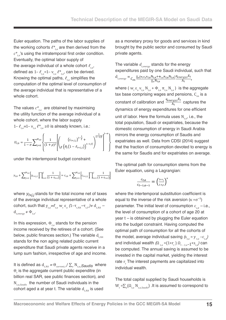Euler equation. The paths of the labor supplies of the working cohorts  $\ell^*_{t_a}$  are then derived from the  $c^*$ <sub>ta</sub>'s using the intratemporal first order condition. Eventually, the optimal labor supply of the average individual of a whole cohort ℓ*t,a*, defined as  $1-\ell_{ta} = 1-\nu_{ta} \ell_{ta}^*$ , can be derived. Knowing the optimal paths,  $\ell_{ta}$  simplifies the computation of the optimal level of consumption of the average individual that is representative of a whole cohort.

The values  $c^*_{t,a}$  are obtained by maximising the utility function of the average individual of a whole cohort, where the labor supply  $1-\ell_{ta} = 1-\nu_{ta} \ell_{ta}^* \geq 0$  is already known, i.e.:

$$
U_{t,0} = \frac{1}{1-\sigma}\sum\nolimits_{j=0}^{\psi_{t,0}}\left\{\frac{1}{(1+\rho)^j}\left[\binom{\left(c_{t+j,j}\right)^{1-\frac{1}{\xi}}+\left(\frac{1}{1-1/\xi}\right)^{1-1/\xi}}{ \chi\left(H_j\left(1-\ell_{t+j,j}\right)\right)^{1-1/\xi}}\right\}^{-1-\sigma}\right\}
$$

under the intertemporal budget constraint:

$$
y_{t,0} + \sum_{j=1}^{\Psi_{t,0}} \left[ y_{t+j,j} \prod_{i=1}^j \frac{1}{(1+r_{t+i})} \right] = c_{t,0} + \sum_{j=1}^{\Psi_{t,0}} \left[ c_{t+j,j} \prod_{i=1}^j \frac{1}{(1+r_{t+i})} \right]
$$

where  $y_{t+i,j}$  stands for the total income net of taxes of the average individual representative of a whole cohort, such that  $y_{t,a} = \ell_{t,a} w_t \varepsilon_a (1 - \tau_{t,NA} - \tau_{t,P}) + d_{t,NA}$  $d_{t,energy} + \Phi_{t,a}$ .

In this expression, Φ*t,a* stands for the pension income received by the retirees of a cohort. (See below, public finances section.) The variable  $d_{tN}$ stands for the non aging related public current expenditure that Saudi private agents receive in a lump sum fashion, irrespective of age and income.

It is defined as  $d_{tNA} = \Theta_{current} / \sum_{a} N_{t.a}$ *Saudis* where Θ*t* is the aggregate current public expenditre (in billion real SAR, see public finances section), and N*t,a,Saudis* the number of Saudi individuals in the cohort aged a at year t. The variable  $d_{f,N_A}$  is used

as a monetary proxy for goods and services in kind brought by the public sector and consumed by Saudi private agents.

The variable *dt,energy* stands for the energy expenditures paid by one Saudi individual, such that  $\mathbf{d}_{t, energy} = \frac{C_{en} \sum_a (w_t \varepsilon_a v_{t,a} \mathbf{N}_{t,a} + \Phi_{t,a} \pi_{t,a} \mathbf{N}_{t,a})}{\sum_a \mathbf{N}_{t,a}}$  $_a N_{t,a}$  $\frac{\mathbf{q}_{energy,t}\mathbf{E}_{t}}{\mathbf{A}_{t}}$ 

where ( $w_t \epsilon_a v_{t,a} N_{t,a} + \Phi_{t,a} \pi_{t,a} N_{t,a}$ ) is the aggregate tax base comprising wages and pensions, C<sub>en</sub> is a constant of calibration and  $\frac{q_{energy,t}E_t}{A_t}$  captures the dynamics of energy expenditures for one efficient unit of labor. Here the formula uses N*t,a*, i.e., the total population, Saudi or expatriates, because the domestic consumption of energy in Saudi Arabia mirrors the energy consumption of Saudis and expatriates as well. Data from CDSI (2014) suggest that the fraction of consumption devoted to energy is the same for Saudis and for expatriates on average.

The optimal path for consumption stems from the Euler equation, using a Lagrangian:

$$
\frac{c_{t,a}}{c_{t-1,a-1}} = \left(\frac{1+r_t}{1+\rho}\right)^k
$$

where the intertemporal substitution coefficient is equal to the inverse of the risk aversion ( $\kappa = \sigma^{-1}$ ) parameter. The initial level of consumption c *t,0 –* i.e., the level of consumption of a cohort of age 20 at year t *–* is obtained by plugging the Euler equation into the budget constraint. Having computed the optimal path of consumption for all the cohorts of the model, average individual saving  $(s_{ta} = y_{ta} - c_{ta})$ and individual wealth  $(\Omega_{t,a} = (1+r_t) \Omega_{t-1,a-1} + s_{t,a})$  can be computed. The annual saving is assumed to be invested in the capital market, yielding the interest rate  $r$ <sub>t</sub> The interest payments are capitalized into individual wealth.

The total capital supplied by Saudi households is W*<sup>t</sup>* =∑*<sup>a</sup>* (Ω*t,a* N*t,a,Saudis*) .It is assumed to correspond to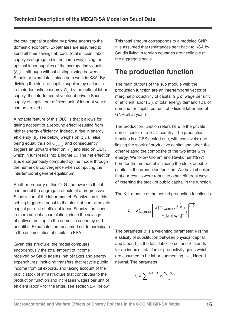the total capital supplied by private agents to the domestic economy. Expatriates are assumed to send all their savings abroad. Total efficient labor supply is aggregated in the same way, using the optimal labor supplies of the average individuals (ℓ*t,a*'s), although without distinguishing between Saudis or expatriates, since both work in KSA. By dividing the stock of capital supplied by nationals to their domestic economy W<sub>r</sub>, by the optimal labor supply, the intertemporal vector of private Saudi supply of capital per efficient unit of labor at year t can be arrived at.

A notable feature of this OLG is that it allows for taking account of a rebound effect resulting from higher energy efficiency. Indeed, a rise in energy efficiency ( $B_t$ , see below) weighs on  $E_t$ , all else being equal, thus on d*t,energy,* and consequently triggers an upward effect on  $y_{t,a}$  and also on GDP, which in turn feeds into a higher  $E_{t}$ . The net effect on  $E<sub>r</sub>$  is endogenously computed by the model through the numerical convergence when computing the intertemporal general equilibrium.

Another property of this OLG framework is that it can model the aggregate effects of a progressive Saudization of the labor market. Saudization in this setting triggers a boost to the stock of non oil private capital per unit of efficient labor. Saudization leads to more capital accumulation, since the savings of natives are kept in the domestic economy and benefit it. Expatriates are assumed not to participate in the accumulation of capital in KSA.

Given this structure, the model computes endogenously the total amount of income received by Saudi agents, net of taxes and energy expenditures, including transfers that recycle public income from oil exports, and taking account of the public stock of infrastructure that contributes to the production function and increases wages per unit of efficient labor *–* for the latter, see section 2.4. below. This total amount corresponds to a modeled GNP. It is assumed that remittances sent back to KSA by Saudis living in foreign countries are negligible at the aggregate scale.

## **The production function**

The main outputs of the sub module with the production function are an intertemporal vector of marginal productivity of capital (r<sub>i</sub>), of wage per unit of efficient labor (w<sub>t</sub>), of total energy demand (E<sub>t</sub>), of demand for capital per unit of efficient labor and of GNP, all at year t.

The production function refers here to the private non oil sector of a GCC country. The production function is a CES nested one, with two levels: one linking the stock of productive capital and labor, the other relating the composite of the two latter with energy. We follow Glomm and Ravikumar (1997) here for the method of including the stock of public capital in the production function. We have checked that our results were robust to other, different ways of inserting the stock of public capital in the function.

The K-L module of the nested production function is:

$$
C_t = K_{KSA\,pub,t}^{\varsigma} \left[ \alpha \left( K_{KSA\,priv,t} \right)^{1-\frac{1}{\beta}} + \sqrt{\frac{1}{1-\frac{1}{\beta}}} \right]
$$

$$
(1-\alpha) \left[ A_t \overline{\varepsilon}_t \Delta_t L_t \right]^{1-\frac{1}{\beta}}
$$

The parameter α is a weighting parameter; *β* is the elasticity of substitution between physical capital and labor;  $L_t$  is the total labor force; and  $A_t$  stands for an index of total factor productivity gains which are assumed to be labor augmenting, i.e., Harrod neutral. The parameter

$$
\bar{\varepsilon}_t = \sum_{a}^{\max(a,t)} \varepsilon_a \frac{\nu_{t,a} N_{t,a}}{L_t}
$$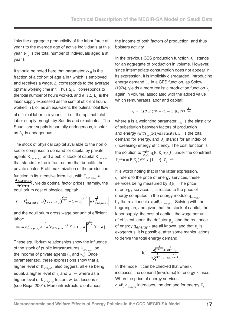links the aggregate productivity of the labor force at year t to the average age of active individuals at this year. N*t,a* is the total number of individuals aged a at year t.

It should be noted here that parameter ν*t,a* is the fraction of a cohort of age a in t which is employed and receives a wage.  $\Delta_t$  corresponds to the average optimal working time in t. Thus  $\Delta_{_t}$  L<sub>t</sub>, corresponds to the total number of hours worked, and  $A_t^t\,\bar{\epsilon}_t^{\,}A_t^{\,}L_t^t$  is the labor supply expressed as the sum of efficient hours worked in t, or, as an equivalent, the optimal total flow of efficient labor in a year t *—* i.e., the optimal total labor supply brought by Saudis and expatriates. The Saudi labor supply is partially endogenous, insofar as  $\Delta$ <sub>t</sub> is endogenous.

The stock of physical capital available to the non oil sector comprises a demand for capital by private agents K<sub>KSA privt</sub> and a public stock of capital K<sub>KSA pubt</sub> that stands for the infrastructure that benefits the private sector. Profit maximization of the production function in its intensive form, i.e., with  $K_{KSA\,privt}$  =  $\frac{K_{KSA\,priv,t}}{A_t\bar{\varepsilon}_t\Delta_tL_t}$ , yields optimal factor prices, namely, the equilibrium cost of physical capital:

$$
r_t = k_{KSA\,pub,t}^S \left[ \alpha \left( k_{KSA\,priv,t} \right)^{\frac{\beta-1}{\beta}} + 1 - \alpha \right]^{\frac{1}{\beta-1}} \left[ \alpha k_{KSA\,priv,t}^{\frac{-1}{\beta}} \right]
$$

and the equilibrium gross wage per unit of efficient labor:

$$
w_{t} = k_{KSA\,pub,t}^{S} A_{t} \left[ \alpha \left( k_{KSA\,pub,t} \right)^{1-\frac{1}{\beta}} + 1 - \alpha \right]^{\frac{1}{\beta-1}} [1 - \alpha]
$$

These equilibrium relationships show the influence of the stock of public infrastructures  $K_{KSA, min}$  on the income of private agents  $(r_{t}$  and  $w_{t}$ ). Once parameterized, these expressions show that a higher level of K<sub>KSA pub,t</sub> also triggers, all else being equal, a higher level of  $r_{_t}$  and  $w_{_t}$  — where as a higher level of  $K_{\scriptscriptstyle{KSA\,priv,t}}$  fosters  $w_t$  but lessens  $r_t$ (see Rioja, 2001). More infrastructure enhances

the income of both factors of production, and thus bolsters activity.

In the previous CES production function, C<sub>r</sub> stands for an aggregate of production in volume. However, since intermediate consumption does not appear in its expression, it is implicitly disregarded. Introducing energy demand  $E_t$  in a CES function, as Solow (1974), yields a more realistic production function  $Y_t$ , again in volume, associated with the added value which remunerates labor and capital:

$$
Y_t = [a(B_t E_t)^{Ven} + (1 - \alpha)[C_t]^{Ven}]^{\frac{1}{Ven}}
$$

where a is a weighting parameter,  $_{\text{ven}}$  is the elasticity of substitution between factors of production and energy (with <sub>ven</sub>1-1/elasticity), E<sub>t</sub> is the total demand for energy, and  $B_t$  stands for an index of (increasing) energy efficiency. The cost function is the solution of  $\min_{E_t, C_t} q_t B_t E_t + p_{ct} C_t$  under the constraint  $Y_t^{\text{ven}} = a(B_t E_t)$ *Yen* +  $(1 - \alpha) [C_t]^{\text{ven}}$ .

It is worth noting that in the latter expression, q*t* refers to the price of energy services, these services being measured by  $B_t E_t$ . The price of energy services q<sub>t</sub> is related to the price of energy computed in the energy module q<sub>eneravt</sub> by the relationship:  $q_t = B_t q_{\text{energy},t}$ . Solving with the Lagrangian, and given that the stock of capital, the labor supply, the cost of capital, the wage per unit of efficient labor, the deflator  $p_{ct}$  and the real price of energy  $q_{\text{energy,}t}$  are all known, and that  $B_t$  is exogenous, it is possible, after some manipulations, to derive the total energy demand

$$
E_{t} = \frac{q_t^{\overline{\gamma_{en}-1}} a^{\overline{\gamma_{en}-1}} c_t}{p_{C_t}^{\overline{\gamma_{en}-1}} (1-a)^{\overline{\gamma_{en}-1}}}.
$$

In the model, it can be checked that when C<sub>t</sub> increases, the demand (in volume) for energy  $E_{t}$  rises. When the price of energy services

q*t* =B*<sup>t</sup>* q*energy,t* increases, the demand for energy E*<sup>t</sup>*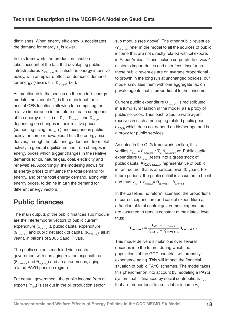diminishes. When energy efficiency  $B_t$  accelerates, the demand for energy  $E<sub>r</sub>$  is lower.

In this framework, the production function takes account of the fact that developing public infrastructures  $K_{KSA\,mht}$  is in itself an energy intensive policy, with an upward effect on domestic demand for energy (since  $\partial E_t / \partial K_{KSA\,sub}$ )>0).

As mentioned in the section on the model's energy module, the variable  $E_t$  is the main input for a nest of CES functions allowing for computing the relative importance in the future of each component of the energy mix  $-$  i.e.,  $D_{\text{out}}$ ,  $D_{\text{notmost}}$  and  $D_{\text{elect}}$ depending on changes in their relative prices (computing using the  $_{ax}$ 's) and exogenous public policy for some renewables. Thus the energy mix derives, through the total energy demand, from total activity in general equilibrium and from changes in energy prices which trigger changes in the relative demands for oil, natural gas, coal, electricity and renewables. Accordingly, the modeling allows for a) energy prices to influence the total demand for energy, and b) the total energy demand, along with energy prices, to define in turn the demand for different energy vectors.

## **Public finances**

The main outputs of the public finances sub module are the intertemporal vectors of public current expenditure (Θ<sub>current</sub>,), public capital expenditure (Θ<sub>capital,t</sub>) and public net stock of capital (K<sub>KSA pub</sub>), all at year t, in billions of 2005 Saudi Riyals.

The public sector is modeled via a central government with non aging related expenditures (Θ*current,t* and Θ*capital,t*) and an autonomous, aging related PAYG pension regime.

For central government, the public income from oil exports  $(Y_{\alpha i})$  is set out in the oil production sector

sub module (see above). The other public revenues  $(Y_{others})$  refer in the model to all the sources of public income that are not directly related with oil exports in Saudi Arabia. These include corporate tax, *zakat*, customs import duties and user fees. Insofar as these public revenues are on average proportional to growth in the long run at unchanged policies, our model simulates them with one aggregate tax on private agents that is proportional to their income.

Current public expenditure  $\Theta_{current}$  is redistributed in a lump sum fashion in the model, as a proxy of public services. Thus each Saudi private agent receives in cash a non aging related public good d<sub>t NA</sub> which does not depend on his/her age and is a proxy for public services.

As noted in the OLG framework section, this verifies  $\mathbf{d}_{t, \mathit{NA}} = \Theta_{\textit{current}, t} / \sum_{a} \mathbf{N}_{t, a, \textit{Saudis}}$  ∀t. Public capital expenditure  $\Theta_{\textit{constalt}}$  feeds into a gross stock of public capital  $K_{KSA\ \rho\nu b.t}$ , representative of public infrastructure, that is amortized over 40 years. For future periods, the public deficit is assumed to be nil and thus  $Y_{\text{oil},t} + Y_{\text{others},t} = \Theta_{\text{current},t} + \Theta_{\text{capital},t}$ .

In the baseline, no reform, scenario, the proportions of current expenditure and capital expenditure as a fraction of total central government expenditure are assumed to remain constant at their latest level, thus:

$$
\Theta_{current,t} = \frac{Y_{oil,t} + Y_{others,t}}{Y_{oil,t-1} + Y_{others,t-1}} \Theta_{current,t-1}.
$$

This model delivers simulations over several decades into the future, during which the populations of the GCC countries will probably experience aging. This will impact the financial situation of public PAYG schemes. The model takes this phenomenon into account by modeling a PAYG system that is financed by social contributions  $τ_{r}$ <sub>*ρ</sub>*</sub> that are proportional to gross labor income w*<sup>j</sup>* ε*j* .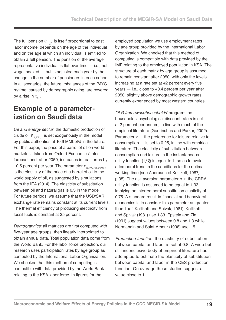The full pension  $\Phi_{\mu i j}$  is itself proportional to past labor income, depends on the age of the individual and on the age at which an individual is entitled to obtain a full pension. The pension of the average representative individual is flat over time *—* i.e., not wage indexed *—* but is adjusted each year by the change in the number of pensioners in each cohort. In all scenarios, the future imbalances of the PAYG regime, caused by demographic aging, are covered by a rise in τ<sub>*t p*</sub>.

### **Example of a parameterization on Saudi data**

Oil and energy sector: the domestic production of crude oil  $P_{ol/KSA}$  is set exogenously in the model by public authorities at 10.6 MMbbl/d in the future. For this paper, the price of a barrel of oil on world markets is taken from Oxford Economics' latest forecast and, after 2050, increases in real terms by +0.5 percent per year. The parameter ε*barrel/Poil,world,t* is the elasticity of the price of a barrel of oil to the world supply of oil, as suggested by simulations from the IEA (2014). The elasticity of substitution between oil and natural gas is 0.3 in the model. For future periods, we assume that the USD/SAR exchange rate remains constant at its current levels. The thermal efficiency of producing electricity from fossil fuels is constant at 35 percent.

Demographic*s*: all matrices are first computed with five-year age groups, then linearly interpolated to obtain annual data. Total population data come from the World Bank. For the labor force projection, our research uses participation rates by age group as computed by the International Labor Organization. We checked that this method of computing is compatible with data provided by the World Bank relating to the KSA labor force. In figures for the

employed population we use employment rates by age group provided by the International Labor Organization. We checked that this method of computing is compatible with data provided by the IMF relating to the employed population in KSA. The structure of each matrix by age group is assumed to remain constant after 2050, with only the levels increasing at a rate set at +2 percent every five years *—* i.e., close to +0.4 percent per year after 2050, slightly above demographic growth rates currently experienced by most western countries.

OLG framework/households' program: the households' psychological discount rate *ρ* is set at 2 percent per annum, in line with much of the empirical literature (Gourinchas and Parker, 2002). Parameter χ *—* the preference for leisure relative to consumption *—* is set to 0.25, in line with empirical literature. The elasticity of substitution between consumption and leisure in the instantaneous utility function  $(1/\xi)$  is equal to 1, so as to avoid a temporal trend in the conditions for the optimal working time (see Auerbach et Kotlikoff, 1987, p.35). The risk aversion parameter σ in the CRRA utility function is assumed to be equal to 1.33, implying an intertemporal substitution elasticity of 0.75. A standard result in financial and behavioral economics is to consider this parameter as greater than 1 (cf. Kotlikoff and Spivak, 1981). Kotlikoff and Spivak (1981) use 1.33. Epstein and Zin (1991) suggest values between 0.8 and 1.3 while Normandin and Saint-Amour (1998) use 1.5.

Production function: the elasticity of substitution between capital and labor is set at 0.8. A wide but still inconclusive body of empirical literature has attempted to estimate the elasticity of substitution between capital and labor in the CES production function. On average these studies suggest a value close to 1.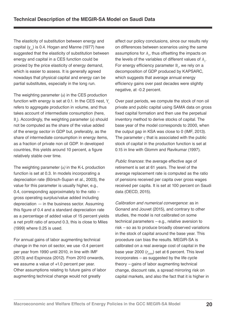The elasticity of substitution between energy and capital (y<sub>en</sub>) is 0.4. Hogan and Manne (1977) have suggested that the elasticity of substitution between energy and capital in a CES function could be proxied by the price elasticity of energy demand, which is easier to assess. It is generally agreed nowadays that physical capital and energy can be partial substitutes, especially in the long run.

The weighting parameter (a) in the CES production function with energy is set at 0.1. In the CES nest, Y*<sup>t</sup>* refers to aggregate production in volume, and thus takes account of intermediate consumption (here, B*t* ). Accordingly, the weighting parameter (a) should not be computed as the share of the value added of the energy sector in GDP but, preferably, as the share of intermediate consumption in energy items, as a fraction of private non oil GDP. In developed countries, this yields around 10 percent, a figure relatively stable over time.

The weighting parameter (a*)* in the K-L production function is set at 0.3. In models incorporating a depreciation rate (Börsch-Supan et al., 2003), the value for this parameter is usually higher, e.g., 0.4, corresponding approximately to the ratio *–* gross operating surplus/value added including depreciation *—* in the business sector. Assuming this figure of 0.4 and a standard depreciation rate as a percentage of added value of 15 percent yields a net profit ratio of around 0.3, this is close to Miles (1999) where 0.25 is used.

For annual gains of labor augmenting technical change in the non oil sector, we use -0.4 percent per year from 1990 until 2010, in line with IMF (2013) and Espinoza (2012). From 2010 onwards, we assume a value of +1.0 percent per year. Other assumptions relating to future gains of labor augmenting technical change would not greatly

affect our policy conclusions, since our results rely on differences between scenarios using the same assumptions for A<sub>t</sub>, thus offsetting the impacts on the levels of the variables of different values of  $A_t$ . For energy efficiency parameter  $B_t$ , we rely on a decomposition of GDP produced by KAPSARC, which suggests that average annual energy efficiency gains over past decades were slightly negative, at -0.2 percent.

Over past periods, we compute the stock of non oil private and public capital using SAMA data on gross fixed capital formation and then use the perpetual inventory method to derive stocks of capital. The base year of the model corresponds to 2000, when the output gap in KSA was close to 0 (IMF, 2013). The parameter *ς* that is associated with the public stock of capital in the production function is set at 0.15 in line with Glomm and Ravikumar (1997).

Public finances: the average effective age of retirement is set at 61 years. The level of the average replacement rate is computed as the ratio of pensions received per capita over gross wages received per capita. It is set at 100 percent on Saudi data (OECD, 2015).

Calibration and numerical convergence: as in Gonand and Jouvet (2015), and contrary to other studies, the model is not calibrated on some technical parameters *–* e.g., relative aversion to risk *–* so as to produce broadly observed variations in the stock of capital around the base year. This procedure can bias the results. MEGIR-SA is calibrated on a real average cost of capital in the base year 2000 (*r <sup>2000</sup>*) set at 6 percent. This level incorporates *–* as suggested by the life cycle theory *–* gains of labor augmenting technical change, discount rate, a spread mirroring risk on capital markets, and also the fact that it is higher in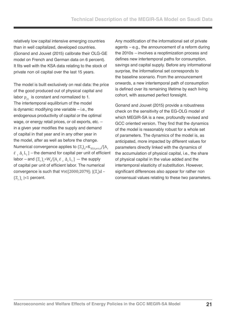relatively low capital intensive emerging countries than in well capitalized, developed countries. (Gonand and Jouvet (2015) calibrate their OLG-GE model on French and German data on 6 percent). It fits well with the KSA data relating to the stock of private non oil capital over the last 15 years.

The model is built exclusively on real data: the price of the good produced out of physical capital and labor  $p_{\alpha}$  is constant and normalized to 1. The intertemporal equilibrium of the model is dynamic: modifying one variable *–* i.e., the endogenous productivity of capital or the optimal wage, or energy retail prices, or oil exports, etc. *–* in a given year modifies the supply and demand of capital in that year and in any other year in the model, after as well as before the change. Numerical convergence applies to  $(\Xi_{_t})_{_d}$ =K $_{_{KSA\,priv,t}}$ /[A $_{_t}$ ε⁻ *<sup>t</sup>*∆*<sup>t</sup>* L*t* ] *–* the demand for capital per unit of efficient labor – and  $(\Xi_t)_s = W_t/[\Lambda_t \bar{\varepsilon}_t \Lambda_t \bar{\varepsilon}_t]$  — the supply of capital per unit of efficient labor. The numerical convergence is such that ∀t∈[2000;2079]; |(Ξ<sub>*t*</sub>)d – (Ξ*<sup>t</sup>* )s |<1 percent.

Any modification of the informational set of private agents *–* e.g., the announcement of a reform during the 2010s *–* involves a reoptimization process and defines new intertemporal paths for consumption, savings and capital supply. Before any informational surprise, the informational set corresponds to the baseline scenario. From the announcement onwards, a new intertemporal path of consumption is defined over its remaining lifetime by each living cohort, with assumed perfect foresight.

Gonand and Jouvet (2015) provide a robustness check on the sensitivity of the EG-OLG model of which MEGIR-SA is a new, profoundly revised and GCC oriented version. They find that the dynamics of the model is reasonably robust for a whole set of parameters. The dynamics of the model is, as anticipated, more impacted by different values for parameters directly linked with the dynamics of the accumulation of physical capital, i.e., the share of physical capital in the value added and the intertemporal elasticity of substitution. However, significant differences also appear for rather non consensual values relating to these two parameters.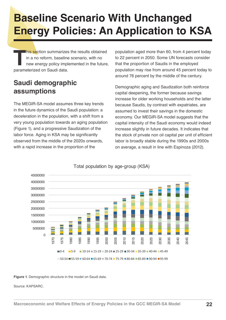## **Baseline Scenario With Unchanged Energy Policies: An Application to KSA**

**This se**ction summarizes the results obtained<br>in a no reform, baseline scenario, with no<br>new energy policy implemented in the future<br>parameterized on Saudi data. in a no reform, baseline scenario, with no new energy policy implemented in the future, parameterized on Saudi data.

## **Saudi demographic assumptions**

The MEGIR-SA model assumes three key trends in the future dynamics of the Saudi population: a deceleration in the population, with a shift from a very young population towards an aging population (Figure 1), and a progressive Saudization of the labor force. Aging in KSA may be significantly observed from the middle of the 2020s onwards, with a rapid increase in the proportion of the

population aged more than 60, from 4 percent today to 22 percent in 2050. Some UN forecasts consider that the proportion of Saudis in the employed population may rise from around 45 percent today to around 76 percent by the middle of the century.

Demographic aging and Saudization both reinforce capital deepening, the former because savings increase for older working households and the latter because Saudis, by contrast with expatriates, are assumed to invest their savings in the domestic economy. Our MEGIR-SA model suggests that the capital intensity of the Saudi economy would indeed increase slightly in future decades. It indicates that the stock of private non oil capital per unit of efficient labor is broadly stable during the 1990s and 2000s on average, a result in line with Espinoza (2012).



#### Total population by age-group (KSA)

**Figure 1***.* Demographic structure in the model on Saudi data.

Source: KAPSARC.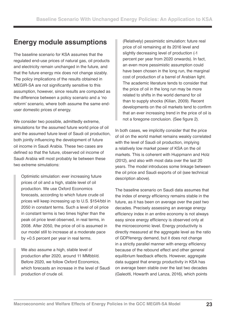### **Energy module assumptions**

The baseline scenario for KSA assumes that the regulated end-use prices of natural gas, oil products and electricity remain unchanged in the future, and that the future energy mix does not change sizably. The policy implications of the results obtained in MEGIR-SA are not significantly sensitive to this assumption, however, since results are computed as the difference between a policy scenario and a 'no reform' scenario, where both assume the same enduser domestic prices of energy.

We consider two possible, admittedly extreme, simulations for the assumed future world price of oil and the assumed future level of Saudi oil production, both jointly influencing the development of future oil income in Saudi Arabia. These two cases are defined so that the future, observed oil income of Saudi Arabia will most probably lie between these two extreme simulations:

Optimistic simulation: ever increasing future prices of oil and a high, stable level of oil production. We use Oxford Economics forecasts, according to which future crude oil prices will keep increasing up to U.S. \$154/bbl in 2050 in constant terms. Such a level of oil price in constant terms is two times higher than the peak oil price level observed, in real terms, in 2008. After 2050, the price of oil is assumed in our model still to increase at a moderate pace by +0.5 percent per year in real terms.

We also assume a high, stable level of production after 2020, around 11 MMbbl/d. Before 2020, we follow Oxford Economics, which forecasts an increase in the level of Saudi production of crude oil.

(Relatively) pessimistic simulation: future real price of oil remaining at its 2016 level and slightly decreasing level of production (-1 percent per year from 2020 onwards). In fact, an even more pessimistic assumption could have been chosen in the long run, the marginal cost of production of a barrel of Arabian light. The academic literature tends to consider that the price of oil in the long run may be more related to shifts in the world demand for oil than to supply shocks (Kilian, 2009). Recent developments on the oil markets tend to confirm that an ever increasing trend in the price of oil is not a foregone conclusion. (See figure 2).

In both cases, we implicitly consider that the price of oil on the world market remains weakly correlated with the level of Saudi oil production, implying a relatively low market power of KSA on the oil markets. This is coherent with Huppmann and Holz (2012), and also with most data over the last 20 years. The model introduces some linkage between the oil price and Saudi exports of oil (see technical description above).

The baseline scenario on Saudi data assumes that the index of energy efficiency remains stable in the future, as it has been on average over the past two decades. Precisely assessing an average energy efficiency index in an entire economy is not always easy since energy efficiency is observed only at the microeconomic level. Energy productivity is directly measured at the aggregate level as the ratio of GDP/energy demand, but it does not change in a strictly parallel manner with energy efficiency because of the rebound effect and other general equilibrium feedback effects. However, aggregate data suggest that energy productivity in KSA has on average been stable over the last two decades (Galeotti, Howarth and Lanza, 2016), which points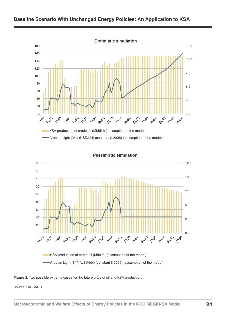

#### **Baseline Scenario With Unchanged Energy Policies: An Application to KSA**



**Pessimirtic simulation**

KSA production of crude oil (Mbbl/d) (assumption of the model) Arabian Light (34<sup>0</sup>) (USD/bbl) (constant \$ 2005) (assumption of the model)



Source:KAPSARC.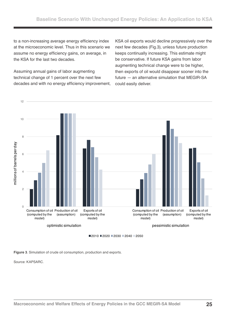to a non-increasing average energy efficiency index at the microeconomic level. Thus in this scenario we assume no energy efficiency gains, on average, in the KSA for the last two decades.

Assuming annual gains of labor augmenting technical change of 1 percent over the next few decades and with no energy efficiency improvement,

KSA oil exports would decline progressively over the next few decades (Fig.3), unless future production keeps continually increasing. This estimate might be conservative. If future KSA gains from labor augmenting technical change were to be higher, then exports of oil would disappear sooner into the future *—* an alternative simulation that MEGIR-SA could easily deliver.



■2010 ■2020 ■2030 ■2040 ■2050

**Figure 3***.* Simulation of crude oil consumption, production and exports.

Source: KAPSARC.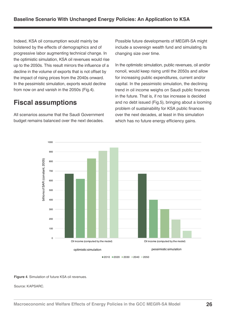Indeed, KSA oil consumption would mainly be bolstered by the effects of demographics and of progressive labor augmenting technical change. In the optimistic simulation, KSA oil revenues would rise up to the 2050s. This result mirrors the influence of a decline in the volume of exports that is not offset by the impact of rising prices from the 2040s onward. In the pessimistic simulation, exports would decline from now on and vanish in the 2050s (Fig.4).

#### **Fiscal assumptions**

All scenarios assume that the Saudi Government budget remains balanced over the next decades. Possible future developments of MEGIR-SA might include a sovereign wealth fund and simulating its changing size over time.

In the optimistic simulation, public revenues, oil and/or nonoil, would keep rising until the 2050s and allow for increasing public expenditures, current and/or capital. In the pessimistic simulation, the declining trend in oil income weighs on Saudi public finances in the future. That is, if no tax increase is decided and no debt issued (Fig.5), bringing about a looming problem of sustainability for KSA public finances over the next decades, at least in this simulation which has no future energy efficiency gains.



 $2010$  2020 2030 2040 2050

**Figure 4***.* Simulation of future KSA oil revenues.

Source: KAPSARC.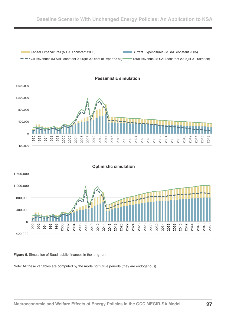



**Figure 5***.* Simulation of Saudi public finances in the long-run.

-400,000

400,000

 $\Omega$ 

 

Note: All these variables are computed by the model for futrue periods (they are endogenous).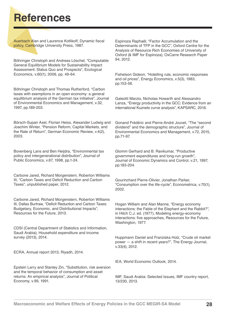## **References**

Auerbach Alan and Laurence Kotlikoff, Dynamic fiscal policy, Cambridge University Press, 1987.

Böhringer Christoph and Andreas Löschel, "Computable General Equilibrium Models for Sustainability Impact Assessment: Status Quo and Prospects", Ecological Economics, v.60(1), 2006, pp. 49-64.

Böhringer Christoph and Thomas Rutherford, "Carbon taxes with exemptions in an open economy: a general equilibrium analysis of the German tax initiative", Journal of Environmental Economics and Management, v.32, 1997, pp.189-203.

Börsch-Supan Axel, Florian Heiss, Alexander Ludwig and Joachim Winter, "Pension Reform, Capital Markets, and the Rate of Return", German Economic Review, v.4(2), 2003.

Bovenberg Lans and Ben Heijdra, "Environmental tax policy and intergenerational distribution", Journal of Public Economics, v.67, 1998, pp.1-24.

Carbone Jared, Richard Morgenstern, Roberton Williams III, "Carbon Taxes and Deficit Reduction and Carbon Taxes", unpublished paper, 2012.

Carbone Jared, Richard Morgenstern, Roberton Williams III, Dallas Burtraw, "Deficit Reduction and Carbon Taxes: Budgetary, Economic, and Distributional Impacts", Resources for the Future, 2013.

CDSI (Central Department of Statistics and Information, Saudi Arabia), Household expenditure and income survey (2013), 2014.

ECRA, Annual report 2013, Riyadh, 2014.

Epstein Larry and Stanley Zin, "Substitution, risk aversion and the temporal behavior of consumption and asset returns: An empirical analysis", Journal of Political Economy, v.99, 1991.

Espinoza Raphaël, "Factor Accumulation and the Determinants of TFP in the GCC", Oxford Centre for the Analysis of Resource Rich Economies of University of Oxford (& IMF for Espinoza), OxCarre Research Paper 94, 2012.

Fishelson Gideon, "Hotelling rule, economic responses and oil prices", Energy Economics, v.5(3), 1983, pp.153-56.

Galeotti Marzio, Nicholas Howarth and Alessandro Lanza, "Energy productivity in the GCC: Evidence from an international Kuznets curve analysis", KAPSARC, 2016.

Gonand Frédéric and Pierre-André Jouvet, "The "second dividend" and the demographic structure", Journal of Environmental Economics and Management, v.72, 2015, pp.71-97.

Glomm Gerhard and B. Ravikumar, "Productive government expenditures and long-run growth", Journal of Economic Dynamics and Control, v.21, 1997, pp.183-204.

Gourinchard Pierre-Olivier, Jonathan Parker, "Consumption over the life-cycle", Econometrica, v.70(1), 2002.

Hogan William and Alan Manne, "Energy economy interactions: the Fable of the Elephant and the Rabbit?", in Hitch C.J. ed. (1977), Modeling energy-economy interactions: five approaches, Resources for the Future, Washington, 1977.

Huppmann Daniel and Franziska Holz, "Crude oil market power — a shift in recent years?", The Energy Journal, v.33(4), 2012.

IEA, World Economic Outlook, 2014.

IMF, Saudi Arabia: Selected Issues, IMF country report, 13/230, 2013.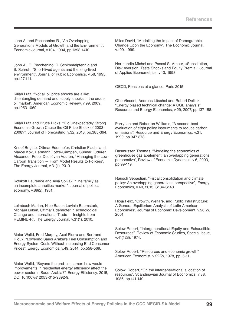John A. and Pecchenino R., "An Overlapping Generations Models of Growth and the Environment", Economic Journal, v.104, 1994, pp.1393-1410.

John A., R. Pecchenino, D. Schimmelpfennig and S. Schreft, "Short-lived agents and the long-lived environment", Journal of Public Economics, v.58, 1995, pp.127-141.

Kilian Lutz, "Not all oil price shocks are alike: disentangling demand and supply shocks in the crude oil market", American Economic Review, v.99, 2009, pp.1053-1069.

Kilian Lutz and Bruce Hicks, "Did Unexpectedly Strong Economic Growth Cause the Oil Price Shock of 2003- 2008?", Journal of Forecasting, v.32, 2013, pp.385-394.

Knopf Brigitte, Ottmar Edenhofer, Christian Flachsland, Marcel Kok, Hermann Lotze-Campen, Gunnar Luderer, Alexander Popp, Detlef van Vuuren, "Managing the Low-Carbon Transition *—* From Model Results to Policies", The Energy Journal, v.31(1), 2010.

Kotlikoff Laurence and Avia Spivak, "The family as an incomplete annuities market", Journal of political economy, v.89(2), 1981.

Leimbach Marian, Nico Bauer, Lavinia Baumstark, Michael Lüken, Ottmar Edenhofer, "Technological Change and International Trade *—* Insights from REMIND-R", The Energy Journal, v.31(1), 2010.

Matar Walid, Fred Murphy, Axel Pierru and Bertrand Rioux, "Lowering Saudi Arabia's Fuel Consumption and Energy System Costs Without Increasing End Consumer Prices", Energy Economics, v.49, 2014, pp.558-569.

Matar Walid, "Beyond the end-consumer: how would improvements in residential energy efficiency affect the power sector in Saudi Arabia?", Energy Efficiency, 2015, DOI 10.1007/s12053-015-9392-9.

Miles David, "Modelling the Impact of Demographic Change Upon the Economy", The Economic Journal, v.109, 1999.

Normandin Michel and Pascal St-Amour, «Substitution, Risk Aversion, Taste Shocks and Equity Premia», Journal of Applied Econometrics, v.13, 1998.

OECD, Pensions at a glance, Paris 2015.

Otto Vincent, Andreas Löschel and Robert Dellink, "Energy biased technical change: A CGE analysis", Resource and Energy Economics, v.29, 2007, pp.137-158.

Parry Ian and Roberton Williams, "A second-best evaluation of eight policy instruments to reduce carbon emissions", Resource and Energy Economics, v.21, 1999, pp.347-373.

Rasmussen Thomas, "Modeling the economics of greenhouse gas abatement: an overlapping generations perspective", Review of Economic Dynamics, v.6, 2003, pp.99-119.

Rausch Sebastian, "Fiscal consolidation and climate policy: An overlapping generations perspective", Energy Economics, v.40, 2013, S134-S148.

Rioja Felix, "Growth, Welfare, and Public Infrastructure: A General Equilibrium Analysis of Latin American Economies", Journal of Economic Development, v.26(2), 2001.

Solow Robert, "Intergenerational Equity and Exhaustible Resources", Review of Economic Studies, Special Issue, v.41(128), 1974.

Solow Robert, "Resources and economic growth", American Economist, v.22(2), 1978, pp. 5-11.

Solow, Robert, "On the intergenerational allocation of resources", Scandinavian Journal of Economics, v.88, 1986, pp.141-149.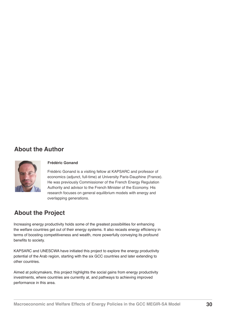#### **About the Author**



#### **Frédéric Gonand**

Frédéric Gonand is a visiting fellow at KAPSARC and professor of economics (adjunct, full-time) at University Paris-Dauphine (France). He was previously Commissioner of the French Energy Regulation Authority and advisor to the French Minister of the Economy. His research focuses on general equilibrium models with energy and overlapping generations.

#### **About the Project**

Increasing energy productivity holds some of the greatest possibilities for enhancing the welfare countries get out of their energy systems. It also recasts energy efficiency in terms of boosting competitiveness and wealth, more powerfully conveying its profound benefits to society.

KAPSARC and UNESCWA have initiated this project to explore the energy productivity potential of the Arab region, starting with the six GCC countries and later extending to other countries.

Aimed at policymakers, this project highlights the social gains from energy productivity investments, where countries are currently at, and pathways to achieving improved performance in this area.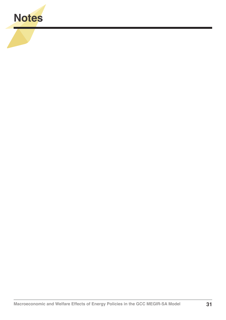

**All Services**